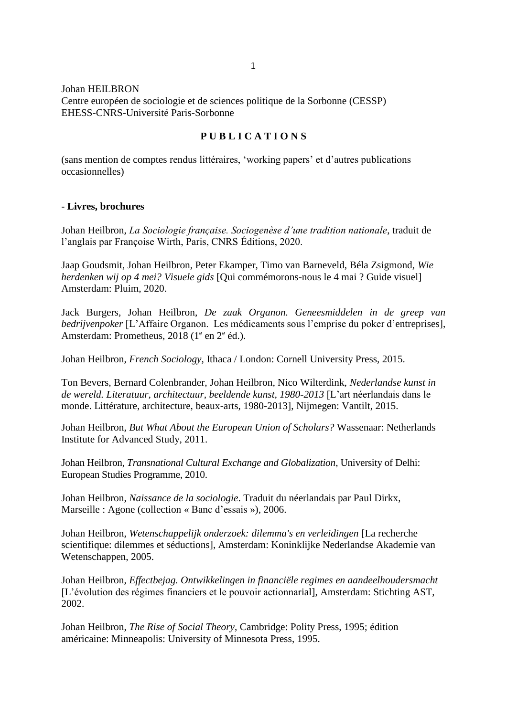### Johan HEILBRON

Centre européen de sociologie et de sciences politique de la Sorbonne (CESSP) EHESS-CNRS-Université Paris-Sorbonne

# **P U B L I C A T I O N S**

(sans mention de comptes rendus littéraires, 'working papers' et d'autres publications occasionnelles)

### - **Livres, brochures**

Johan Heilbron, *La Sociologie française. Sociogenèse d'une tradition nationale*, traduit de l'anglais par Françoise Wirth, Paris, CNRS Éditions, 2020.

Jaap Goudsmit, Johan Heilbron, Peter Ekamper, Timo van Barneveld, Béla Zsigmond, *Wie herdenken wij op 4 mei? Visuele gids* [Qui commémorons-nous le 4 mai ? Guide visuel] Amsterdam: Pluim, 2020.

Jack Burgers, Johan Heilbron, *De zaak Organon. Geneesmiddelen in de greep van bedrijvenpoker* [L'Affaire Organon. Les médicaments sous l'emprise du poker d'entreprises], Amsterdam: Prometheus, 2018 (1<sup>e</sup> en 2<sup>e</sup> éd.).

Johan Heilbron, *French Sociology*, Ithaca / London: Cornell University Press, 2015.

Ton Bevers, Bernard Colenbrander, Johan Heilbron, Nico Wilterdink, *Nederlandse kunst in de wereld. Literatuur, architectuur, beeldende kunst, 1980-2013* [L'art néerlandais dans le monde. Littérature, architecture, beaux-arts, 1980-2013], Nijmegen: Vantilt, 2015.

Johan Heilbron, *But What About the European Union of Scholars?* Wassenaar: Netherlands Institute for Advanced Study, 2011.

Johan Heilbron, *Transnational Cultural Exchange and Globalization*, University of Delhi: European Studies Programme, 2010.

Johan Heilbron, *Naissance de la sociologie*. Traduit du néerlandais par Paul Dirkx, Marseille : Agone (collection « Banc d'essais »), 2006.

Johan Heilbron, *Wetenschappelijk onderzoek: dilemma's en verleidingen* [La recherche scientifique: dilemmes et séductions], Amsterdam: Koninklijke Nederlandse Akademie van Wetenschappen, 2005.

Johan Heilbron, *Effectbejag. Ontwikkelingen in financiële regimes en aandeelhoudersmacht* [L'évolution des régimes financiers et le pouvoir actionnarial], Amsterdam: Stichting AST, 2002.

Johan Heilbron, *The Rise of Social Theory*, Cambridge: Polity Press, 1995; édition américaine: Minneapolis: University of Minnesota Press, 1995.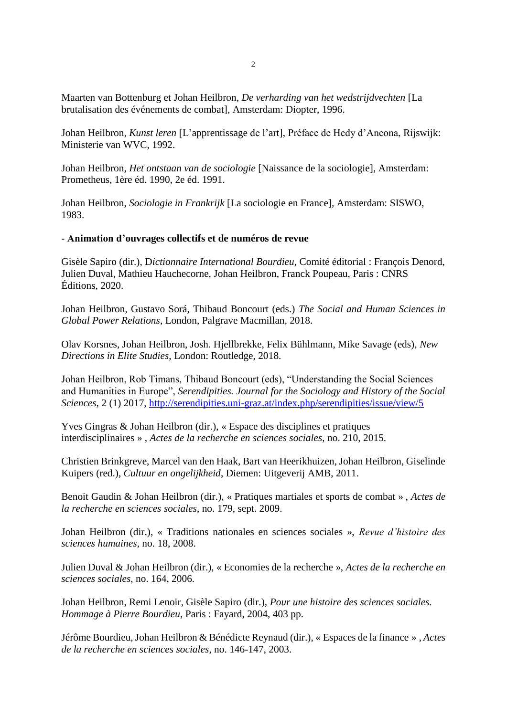Maarten van Bottenburg et Johan Heilbron, *De verharding van het wedstrijdvechten* [La brutalisation des événements de combat], Amsterdam: Diopter, 1996.

Johan Heilbron, *Kunst leren* [L'apprentissage de l'art], Préface de Hedy d'Ancona, Rijswijk: Ministerie van WVC, 1992.

Johan Heilbron, *Het ontstaan van de sociologie* [Naissance de la sociologie], Amsterdam: Prometheus, 1ère éd. 1990, 2e éd. 1991.

Johan Heilbron, *Sociologie in Frankrijk* [La sociologie en France], Amsterdam: SISWO, 1983.

#### - **Animation d'ouvrages collectifs et de numéros de revue**

Gisèle Sapiro (dir.), D*ictionnaire International Bourdieu*, Comité éditorial : François Denord, Julien Duval, Mathieu Hauchecorne, Johan Heilbron, Franck Poupeau, Paris : CNRS Éditions, 2020.

Johan Heilbron, Gustavo Sorá, Thibaud Boncourt (eds.) *The Social and Human Sciences in Global Power Relations*, London, Palgrave Macmillan, 2018.

Olav Korsnes, Johan Heilbron, Josh. Hjellbrekke, Felix Bühlmann, Mike Savage (eds), *New Directions in Elite Studies*, London: Routledge, 2018.

Johan Heilbron, Rob Timans, Thibaud Boncourt (eds), "Understanding the Social Sciences and Humanities in Europe", *Serendipities. Journal for the Sociology and History of the Social Sciences*, 2 (1) 2017,<http://serendipities.uni-graz.at/index.php/serendipities/issue/view/5>

Yves Gingras & Johan Heilbron (dir.), « Espace des disciplines et pratiques interdisciplinaires » , *Actes de la recherche en sciences sociales*, no. 210, 2015.

Christien Brinkgreve, Marcel van den Haak, Bart van Heerikhuizen, Johan Heilbron, Giselinde Kuipers (red.), *Cultuur en ongelijkheid*, Diemen: Uitgeverij AMB, 2011.

Benoit Gaudin & Johan Heilbron (dir.), « Pratiques martiales et sports de combat » , *Actes de la recherche en sciences sociales*, no. 179, sept. 2009.

Johan Heilbron (dir.), « Traditions nationales en sciences sociales », *Revue d'histoire des sciences humaines*, no. 18, 2008.

Julien Duval & Johan Heilbron (dir.), « Economies de la recherche », *Actes de la recherche en sciences sociales*, no. 164, 2006.

Johan Heilbron, Remi Lenoir, Gisèle Sapiro (dir.), *Pour une histoire des sciences sociales. Hommage à Pierre Bourdieu*, Paris : Fayard, 2004, 403 pp.

Jérôme Bourdieu, Johan Heilbron & Bénédicte Reynaud (dir.), « Espaces de la finance » , *Actes de la recherche en sciences sociales*, no. 146-147, 2003.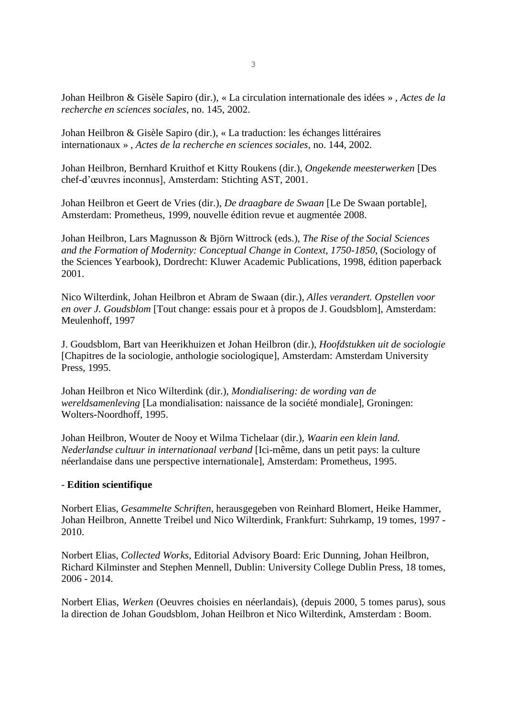Johan Heilbron & Gisèle Sapiro (dir.), « La circulation internationale des idées » , *Actes de la recherche en sciences sociales*, no. 145, 2002.

Johan Heilbron & Gisèle Sapiro (dir.), « La traduction: les échanges littéraires internationaux » , *Actes de la recherche en sciences sociales*, no. 144, 2002.

Johan Heilbron, Bernhard Kruithof et Kitty Roukens (dir.), *Ongekende meesterwerken* [Des chef-d'œuvres inconnus], Amsterdam: Stichting AST, 2001.

Johan Heilbron et Geert de Vries (dir.), *De draagbare de Swaan* [Le De Swaan portable], Amsterdam: Prometheus, 1999, nouvelle édition revue et augmentée 2008.

Johan Heilbron, Lars Magnusson & Björn Wittrock (eds.), *The Rise of the Social Sciences and the Formation of Modernity: Conceptual Change in Context, 1750-1850*, (Sociology of the Sciences Yearbook), Dordrecht: Kluwer Academic Publications, 1998, édition paperback 2001.

Nico Wilterdink, Johan Heilbron et Abram de Swaan (dir.), *Alles verandert. Opstellen voor en over J. Goudsblom* [Tout change: essais pour et à propos de J. Goudsblom], Amsterdam: Meulenhoff, 1997

J. Goudsblom, Bart van Heerikhuizen et Johan Heilbron (dir.), *Hoofdstukken uit de sociologie* [Chapitres de la sociologie, anthologie sociologique], Amsterdam: Amsterdam University Press, 1995.

Johan Heilbron et Nico Wilterdink (dir.), *Mondialisering: de wording van de wereldsamenleving* [La mondialisation: naissance de la société mondiale], Groningen: Wolters-Noordhoff, 1995.

Johan Heilbron, Wouter de Nooy et Wilma Tichelaar (dir.), *Waarin een klein land. Nederlandse cultuur in internationaal verband* [Ici-même, dans un petit pays: la culture néerlandaise dans une perspective internationale], Amsterdam: Prometheus, 1995.

# - **Edition scientifique**

Norbert Elias, *Gesammelte Schriften*, herausgegeben von Reinhard Blomert, Heike Hammer, Johan Heilbron, Annette Treibel und Nico Wilterdink, Frankfurt: Suhrkamp, 19 tomes, 1997 - 2010.

Norbert Elias, *Collected Works*, Editorial Advisory Board: Eric Dunning, Johan Heilbron, Richard Kilminster and Stephen Mennell, Dublin: University College Dublin Press, 18 tomes, 2006 - 2014.

Norbert Elias, *Werken* (Oeuvres choisies en néerlandais), (depuis 2000, 5 tomes parus), sous la direction de Johan Goudsblom, Johan Heilbron et Nico Wilterdink, Amsterdam : Boom.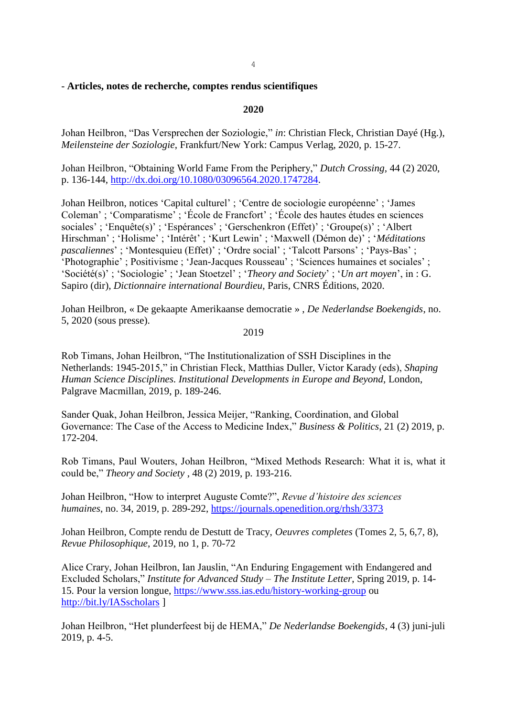# - **Articles, notes de recherche, comptes rendus scientifiques**

## **2020**

Johan Heilbron, "Das Versprechen der Soziologie," *in*: Christian Fleck, Christian Dayé (Hg.), *Meilensteine der Soziologie*, Frankfurt/New York: Campus Verlag, 2020, p. 15-27.

Johan Heilbron, "Obtaining World Fame From the Periphery," *Dutch Crossing*, 44 (2) 2020, p. 136-144, [http://dx.doi.org/10.1080/03096564.2020.1747284.](http://dx.doi.org/10.1080/03096564.2020.1747284)

Johan Heilbron, notices 'Capital culturel' ; 'Centre de sociologie européenne' ; 'James Coleman' ; 'Comparatisme' ; 'École de Francfort' ; 'École des hautes études en sciences sociales' ; 'Enquête(s)' ; 'Espérances' ; 'Gerschenkron (Effet)' ; 'Groupe(s)' ; 'Albert Hirschman' ; 'Holisme' ; 'Intérêt' ; 'Kurt Lewin' ; 'Maxwell (Démon de)' ; '*Méditations pascaliennes*' ; 'Montesquieu (Effet)' ; 'Ordre social' ; 'Talcott Parsons' ; 'Pays-Bas' ; 'Photographie' ; Positivisme ; 'Jean-Jacques Rousseau' ; 'Sciences humaines et sociales' ; 'Société(s)' ; 'Sociologie' ; 'Jean Stoetzel' ; '*Theory and Society*' ; '*Un art moyen*', in : G. Sapiro (dir), *Dictionnaire international Bourdieu*, Paris, CNRS Éditions, 2020.

Johan Heilbron, « De gekaapte Amerikaanse democratie » , *De Nederlandse Boekengids*, no. 5, 2020 (sous presse).

#### 2019

Rob Timans, Johan Heilbron, "The Institutionalization of SSH Disciplines in the Netherlands: 1945-2015," in Christian Fleck, Matthias Duller, Victor Karady (eds), *Shaping Human Science Disciplines. Institutional Developments in Europe and Beyond*, London, Palgrave Macmillan, 2019, p. 189-246.

Sander Quak, Johan Heilbron, Jessica Meijer, "Ranking, Coordination, and Global Governance: The Case of the Access to Medicine Index," *Business & Politics*, 21 (2) 2019, p. 172-204.

Rob Timans, Paul Wouters, Johan Heilbron, "Mixed Methods Research: What it is, what it could be," *Theory and Society* , 48 (2) 2019, p. 193-216.

Johan Heilbron, "How to interpret Auguste Comte?", *Revue d'histoire des sciences humaines*, no. 34, 2019, p. 289-292,<https://journals.openedition.org/rhsh/3373>

Johan Heilbron, Compte rendu de Destutt de Tracy, *Oeuvres completes* (Tomes 2, 5, 6,7, 8), *Revue Philosophique*, 2019, no 1, p. 70-72

Alice Crary, Johan Heilbron, Ian Jauslin, "An Enduring Engagement with Endangered and Excluded Scholars," *Institute for Advanced Study – The Institute Letter*, Spring 2019, p. 14- 15. Pour la version longue,<https://www.sss.ias.edu/history-working-group> ou <http://bit.ly/IASscholars> ]

Johan Heilbron, "Het plunderfeest bij de HEMA," *De Nederlandse Boekengids*, 4 (3) juni-juli 2019, p. 4-5.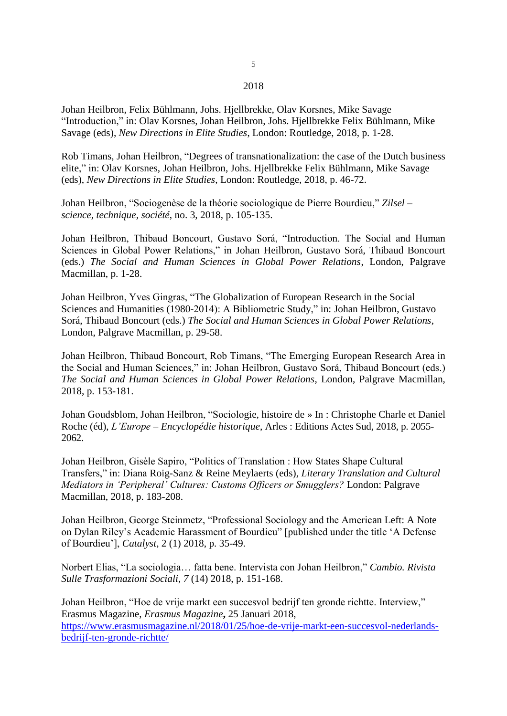#### 2018

Johan Heilbron, Felix Bühlmann, Johs. Hjellbrekke, Olav Korsnes, Mike Savage "Introduction," in: Olav Korsnes, Johan Heilbron, Johs. Hjellbrekke Felix Bühlmann, Mike Savage (eds), *New Directions in Elite Studies*, London: Routledge, 2018, p. 1-28.

Rob Timans, Johan Heilbron, "Degrees of transnationalization: the case of the Dutch business elite," in: Olav Korsnes, Johan Heilbron, Johs. Hjellbrekke Felix Bühlmann, Mike Savage (eds), *New Directions in Elite Studies*, London: Routledge, 2018, p. 46-72.

Johan Heilbron, "Sociogenèse de la théorie sociologique de Pierre Bourdieu," *Zilsel – science, technique, société*, no. 3, 2018, p. 105-135.

Johan Heilbron, Thibaud Boncourt, Gustavo Sorá, "Introduction. The Social and Human Sciences in Global Power Relations," in Johan Heilbron, Gustavo Sorá, Thibaud Boncourt (eds.) *The Social and Human Sciences in Global Power Relations*, London, Palgrave Macmillan, p. 1-28.

Johan Heilbron, Yves Gingras, "The Globalization of European Research in the Social Sciences and Humanities (1980-2014): A Bibliometric Study," in: Johan Heilbron, Gustavo Sorá, Thibaud Boncourt (eds.) *The Social and Human Sciences in Global Power Relations*, London, Palgrave Macmillan, p. 29-58.

Johan Heilbron, Thibaud Boncourt, Rob Timans, "The Emerging European Research Area in the Social and Human Sciences," in: Johan Heilbron, Gustavo Sorá, Thibaud Boncourt (eds.) *The Social and Human Sciences in Global Power Relations*, London, Palgrave Macmillan, 2018, p. 153-181.

Johan Goudsblom, Johan Heilbron, "Sociologie, histoire de » In : Christophe Charle et Daniel Roche (éd), *L'Europe – Encyclopédie historique*, Arles : Editions Actes Sud, 2018, p. 2055- 2062.

Johan Heilbron, Gisèle Sapiro, "Politics of Translation : How States Shape Cultural Transfers," in: Diana Roig-Sanz & Reine Meylaerts (eds), *Literary Translation and Cultural Mediators in 'Peripheral' Cultures: Customs Officers or Smugglers?* London: Palgrave Macmillan, 2018, p. 183-208.

Johan Heilbron, George Steinmetz, "Professional Sociology and the American Left: A Note on Dylan Riley's Academic Harassment of Bourdieu" [published under the title 'A Defense of Bourdieu'], *Catalyst*, 2 (1) 2018, p. 35-49.

Norbert Elias, "La sociologia… fatta bene. Intervista con Johan Heilbron," *Cambio. Rivista Sulle Trasformazioni Sociali*, *7* (14) 2018, p. 151-168.

Johan Heilbron, "Hoe de vrije markt een succesvol bedrijf ten gronde richtte. Interview," Erasmus Magazine, *Erasmus Magazine***,** 25 Januari 2018, [https://www.erasmusmagazine.nl/2018/01/25/hoe-de-vrije-markt-een-succesvol-nederlands](https://www.erasmusmagazine.nl/2018/01/25/hoe-de-vrije-markt-een-succesvol-nederlands-bedrijf-ten-gronde-richtte/)[bedrijf-ten-gronde-richtte/](https://www.erasmusmagazine.nl/2018/01/25/hoe-de-vrije-markt-een-succesvol-nederlands-bedrijf-ten-gronde-richtte/)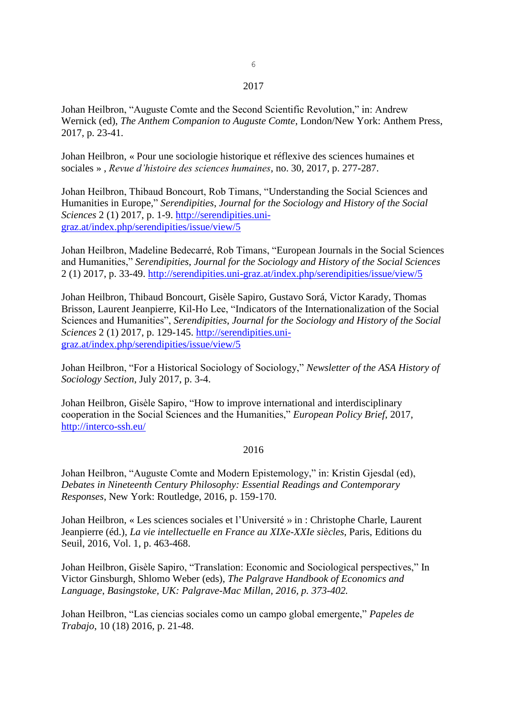#### 2017

Johan Heilbron, "Auguste Comte and the Second Scientific Revolution," in: Andrew Wernick (ed), *The Anthem Companion to Auguste Comte*, London/New York: Anthem Press, 2017, p. 23-41.

Johan Heilbron, « Pour une sociologie historique et réflexive des sciences humaines et sociales » , *Revue d'histoire des sciences humaines*, no. 30, 2017, p. 277-287.

Johan Heilbron, Thibaud Boncourt, Rob Timans, "Understanding the Social Sciences and Humanities in Europe," *Serendipities*, *Journal for the Sociology and History of the Social Sciences* 2 (1) 2017, p. 1-9. [http://serendipities.uni](http://serendipities.uni-graz.at/index.php/serendipities/issue/view/5)[graz.at/index.php/serendipities/issue/view/5](http://serendipities.uni-graz.at/index.php/serendipities/issue/view/5) 

Johan Heilbron, Madeline Bedecarré, Rob Timans, "European Journals in the Social Sciences and Humanities," *Serendipities*, *Journal for the Sociology and History of the Social Sciences* 2 (1) 2017, p. 33-49.<http://serendipities.uni-graz.at/index.php/serendipities/issue/view/5>

Johan Heilbron, Thibaud Boncourt, Gisèle Sapiro, Gustavo Sorá, Victor Karady, Thomas Brisson, Laurent Jeanpierre, Kil-Ho Lee, "Indicators of the Internationalization of the Social Sciences and Humanities", *Serendipities*, *Journal for the Sociology and History of the Social Sciences* 2 (1) 2017, p. 129-145. [http://serendipities.uni](http://serendipities.uni-graz.at/index.php/serendipities/issue/view/5)[graz.at/index.php/serendipities/issue/view/5](http://serendipities.uni-graz.at/index.php/serendipities/issue/view/5) 

Johan Heilbron, "For a Historical Sociology of Sociology," *Newsletter of the ASA History of Sociology Section*, July 2017, p. 3-4.

Johan Heilbron, Gisèle Sapiro, "How to improve international and interdisciplinary cooperation in the Social Sciences and the Humanities," *European Policy Brief*, 2017, <http://interco-ssh.eu/>

#### 2016

Johan Heilbron, "Auguste Comte and Modern Epistemology," in: Kristin Gjesdal (ed), *Debates in Nineteenth Century Philosophy: Essential Readings and Contemporary Responses*, New York: Routledge, 2016, p. 159-170.

Johan Heilbron, « Les sciences sociales et l'Université » in : Christophe Charle, Laurent Jeanpierre (éd.), *La vie intellectuelle en France au XIXe-XXIe siècles*, Paris, Editions du Seuil, 2016, Vol. 1, p. 463-468.

Johan Heilbron, Gisèle Sapiro, "Translation: Economic and Sociological perspectives," In Victor Ginsburgh, Shlomo Weber (eds), *The Palgrave Handbook of Economics and Language*, *Basingstoke, UK: Palgrave-Mac Millan, 2016, p. 373-402.*

Johan Heilbron, "Las ciencias sociales como un campo global emergente," *Papeles de Trabajo*, 10 (18) 2016, p. 21-48.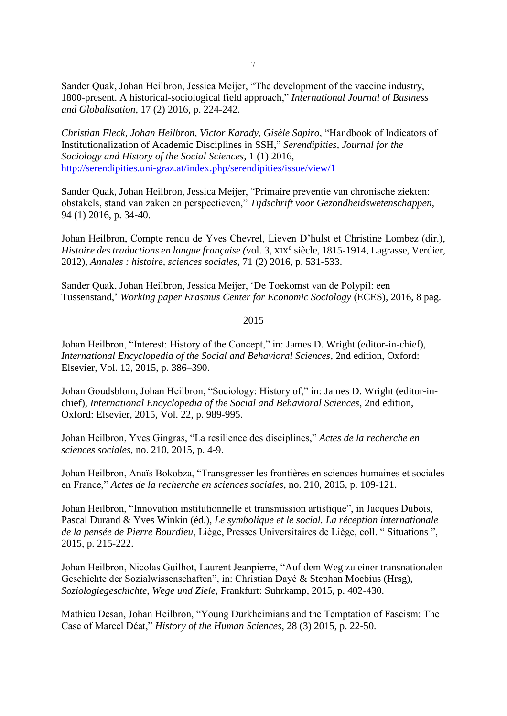Sander Quak, Johan Heilbron, Jessica Meijer, "The development of the vaccine industry, 1800-present. A historical-sociological field approach," *International Journal of Business and Globalisation*, 17 (2) 2016, p. 224-242.

*Christian Fleck, Johan Heilbron, Victor Karady, Gisèle Sapiro,* "Handbook of Indicators of Institutionalization of Academic Disciplines in SSH," *Serendipities*, *Journal for the Sociology and History of the Social Sciences,* 1 (1) 2016, <http://serendipities.uni-graz.at/index.php/serendipities/issue/view/1>

Sander Quak, Johan Heilbron, Jessica Meijer, "Primaire preventie van chronische ziekten: obstakels, stand van zaken en perspectieven," *Tijdschrift voor Gezondheidswetenschappen*, 94 (1) 2016, p. 34-40.

Johan Heilbron, Compte rendu de Yves Chevrel, Lieven D'hulst et Christine Lombez (dir.), Histoire des traductions en langue française (vol. 3, XIX<sup>e</sup> siècle, 1815-1914, Lagrasse, Verdier, 2012), *Annales : histoire, sciences sociales*, 71 (2) 2016, p. 531-533.

Sander Quak, Johan Heilbron, Jessica Meijer, 'De Toekomst van de Polypil: een Tussenstand,' *Working paper Erasmus Center for Economic Sociology* (ECES), 2016, 8 pag.

## 2015

Johan Heilbron, "Interest: History of the Concept," in: James D. Wright (editor-in-chief), *International Encyclopedia of the Social and Behavioral Sciences*, 2nd edition, Oxford: Elsevier, Vol. 12, 2015, p. 386–390.

Johan Goudsblom, Johan Heilbron, "Sociology: History of," in: James D. Wright (editor-inchief), *International Encyclopedia of the Social and Behavioral Sciences*, 2nd edition, Oxford: Elsevier, 2015, Vol. 22, p. 989-995.

Johan Heilbron, Yves Gingras, "La resilience des disciplines," *Actes de la recherche en sciences sociales*, no. 210, 2015, p. 4-9.

Johan Heilbron, Anaïs Bokobza, "Transgresser les frontières en sciences humaines et sociales en France," *Actes de la recherche en sciences sociales*, no. 210, 2015, p. 109-121.

Johan Heilbron, "Innovation institutionnelle et transmission artistique", in Jacques Dubois, Pascal Durand & Yves Winkin (éd.), *Le symbolique et le social. La réception internationale de la pensée de Pierre Bourdieu*, Liège, Presses Universitaires de Liège, coll. " Situations ", 2015, p. 215-222.

Johan Heilbron, Nicolas Guilhot, Laurent Jeanpierre, "Auf dem Weg zu einer transnationalen Geschichte der Sozialwissenschaften", in: Christian Dayé & Stephan Moebius (Hrsg), *Soziologiegeschichte, Wege und Ziele*, Frankfurt: Suhrkamp, 2015, p. 402-430.

Mathieu Desan, Johan Heilbron, "Young Durkheimians and the Temptation of Fascism: The Case of Marcel Déat," *History of the Human Sciences*, 28 (3) 2015, p. 22-50.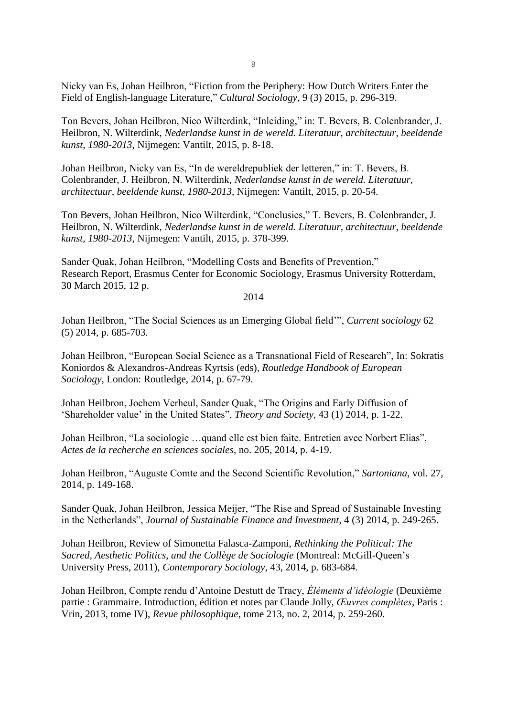Nicky van Es, Johan Heilbron, "Fiction from the Periphery: How Dutch Writers Enter the Field of English-language Literature," *Cultural Sociology*, 9 (3) 2015, p. 296-319.

Ton Bevers, Johan Heilbron, Nico Wilterdink, "Inleiding," in: T. Bevers, B. Colenbrander, J. Heilbron, N. Wilterdink, *Nederlandse kunst in de wereld. Literatuur, architectuur, beeldende kunst, 1980-2013*, Nijmegen: Vantilt, 2015, p. 8-18.

Johan Heilbron, Nicky van Es, "In de wereldrepubliek der letteren," in: T. Bevers, B. Colenbrander, J. Heilbron, N. Wilterdink, *Nederlandse kunst in de wereld. Literatuur, architectuur, beeldende kunst, 1980-2013*, Nijmegen: Vantilt, 2015, p. 20-54.

Ton Bevers, Johan Heilbron, Nico Wilterdink, "Conclusies," T. Bevers, B. Colenbrander, J. Heilbron, N. Wilterdink, *Nederlandse kunst in de wereld. Literatuur, architectuur, beeldende kunst, 1980-2013*, Nijmegen: Vantilt, 2015, p. 378-399.

Sander Quak, Johan Heilbron, "Modelling Costs and Benefits of Prevention," Research Report, Erasmus Center for Economic Sociology, Erasmus University Rotterdam, 30 March 2015, 12 p.

2014

Johan Heilbron, "The Social Sciences as an Emerging Global field'", *Current sociology* 62 (5) 2014, p. 685-703.

Johan Heilbron, "European Social Science as a Transnational Field of Research", In: Sokratis Koniordos & Alexandros-Andreas Kyrtsis (eds), *Routledge Handbook of European Sociology*, London: Routledge, 2014, p. 67-79.

Johan Heilbron, Jochem Verheul, Sander Quak, "The Origins and Early Diffusion of 'Shareholder value' in the United States", *Theory and Society*, 43 (1) 2014, p. 1-22.

Johan Heilbron, "La sociologie …quand elle est bien faite. Entretien avec Norbert Elias", *Actes de la recherche en sciences sociales*, no. 205, 2014, p. 4-19.

Johan Heilbron, "Auguste Comte and the Second Scientific Revolution," *Sartoniana*, vol. 27, 2014, p. 149-168.

Sander Quak, Johan Heilbron, Jessica Meijer, "The Rise and Spread of Sustainable Investing in the Netherlands", *Journal of Sustainable Finance and Investment*, 4 (3) 2014, p. 249-265.

Johan Heilbron, Review of Simonetta Falasca-Zamponi, *Rethinking the Political: The Sacred, Aesthetic Politics, and the Collège de Sociologie* (Montreal: McGill-Queen's University Press, 2011), *Contemporary Sociology*, 43, 2014, p. 683-684.

Johan Heilbron, Compte rendu d'Antoine Destutt de Tracy, *Éléments d'idéologie* (Deuxième partie : Grammaire. Introduction, édition et notes par Claude Jolly, *Œuvres complètes*, Paris : Vrin, 2013, tome IV), *Revue philosophique*, tome 213, no. 2, 2014, p. 259-260.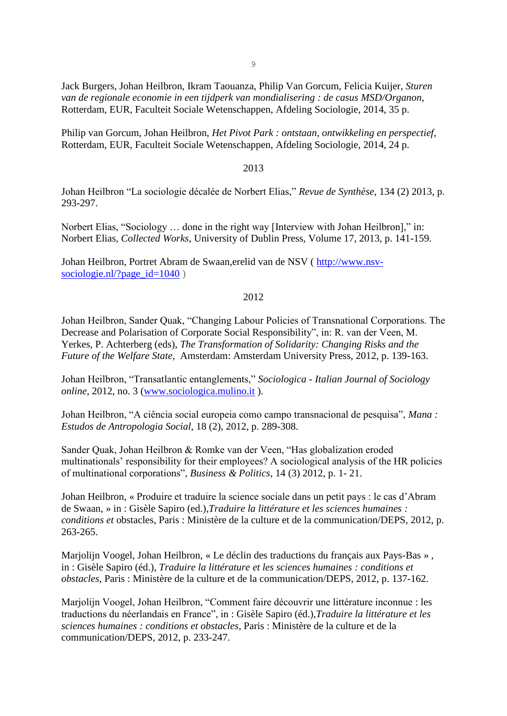9

Jack Burgers, Johan Heilbron, Ikram Taouanza, Philip Van Gorcum, Felicia Kuijer, *Sturen van de regionale economie in een tijdperk van mondialisering : de casus MSD/Organon*, Rotterdam, EUR, Faculteit Sociale Wetenschappen, Afdeling Sociologie, 2014, 35 p.

Philip van Gorcum, Johan Heilbron, *Het Pivot Park : ontstaan, ontwikkeling en perspectief*, Rotterdam, EUR, Faculteit Sociale Wetenschappen, Afdeling Sociologie, 2014, 24 p.

### 2013

Johan Heilbron "La sociologie décalée de Norbert Elias," *Revue de Synthèse*, 134 (2) 2013, p. 293-297.

Norbert Elias, "Sociology … done in the right way [Interview with Johan Heilbron]," in: Norbert Elias, *Collected Works*, University of Dublin Press, Volume 17, 2013, p. 141-159.

Johan Heilbron, Portret Abram de Swaan,erelid van de NSV ( [http://www.nsv](http://www.nsv-sociologie.nl/?page_id=1040)[sociologie.nl/?page\\_id=1040](http://www.nsv-sociologie.nl/?page_id=1040) )

# 2012

Johan Heilbron, Sander Quak, "Changing Labour Policies of Transnational Corporations. The Decrease and Polarisation of Corporate Social Responsibility", in: R. van der Veen, M. Yerkes, P. Achterberg (eds), *The Transformation of Solidarity: Changing Risks and the Future of the Welfare State*, Amsterdam: Amsterdam University Press, 2012, p. 139-163.

Johan Heilbron, "Transatlantic entanglements," *Sociologica - Italian Journal of Sociology online*, 2012, no. 3 [\(www.sociologica.mulino.it](http://www.sociologica.mulino.it/) ).

Johan Heilbron, "A ciência social europeia como campo transnacional de pesquisa", *Mana : Estudos de Antropologia Social*, 18 (2), 2012, p. 289-308.

Sander Quak, Johan Heilbron & Romke van der Veen, "Has globalization eroded multinationals' responsibility for their employees? A sociological analysis of the HR policies of multinational corporations", *Business & Politics*, 14 (3) 2012, p. 1- 21.

Johan Heilbron, « Produire et traduire la science sociale dans un petit pays : le cas d'Abram de Swaan, » in : Gisèle Sapiro (ed.),*Traduire la littérature et les sciences humaines : conditions et* obstacles, Paris : Ministère de la culture et de la communication/DEPS, 2012, p. 263-265.

Marjolijn Voogel, Johan Heilbron, « Le déclin des traductions du français aux Pays-Bas » , in : Gisèle Sapiro (éd.), *Traduire la littérature et les sciences humaines : conditions et obstacles*, Paris : Ministère de la culture et de la communication/DEPS, 2012, p. 137-162.

Marjolijn Voogel, Johan Heilbron, "Comment faire découvrir une littérature inconnue : les traductions du néerlandais en France", in : Gisèle Sapiro (éd.),*Traduire la littérature et les sciences humaines : conditions et obstacles*, Paris : Ministère de la culture et de la communication/DEPS, 2012, p. 233-247.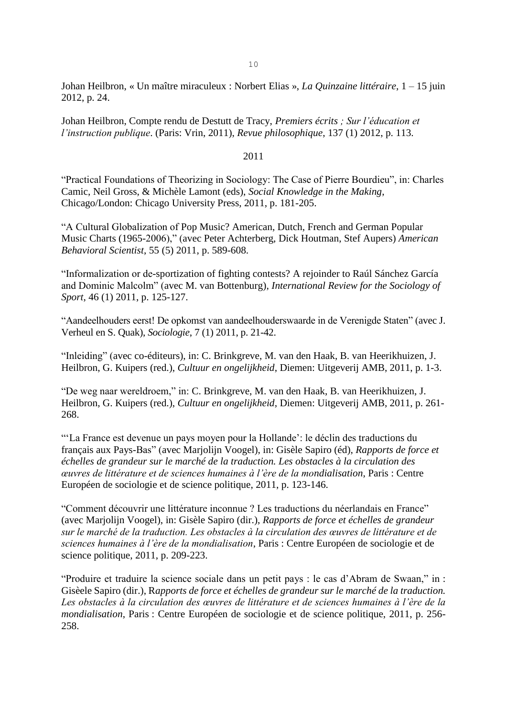Johan Heilbron, « Un maître miraculeux : Norbert Elias », *La Quinzaine littéraire*, 1 – 15 juin 2012, p. 24.

Johan Heilbron, Compte rendu de Destutt de Tracy, *Premiers écrits ; Sur l'éducation et l'instruction publique*. (Paris: Vrin, 2011), *Revue philosophique*, 137 (1) 2012, p. 113.

### 2011

"Practical Foundations of Theorizing in Sociology: The Case of Pierre Bourdieu", in: Charles Camic, Neil Gross, & Michèle Lamont (eds), *Social Knowledge in the Making*, Chicago/London: Chicago University Press, 2011, p. 181-205.

"A Cultural Globalization of Pop Music? American, Dutch, French and German Popular Music Charts (1965-2006)," (avec Peter Achterberg, Dick Houtman, Stef Aupers) *American Behavioral Scientist*, 55 (5) 2011, p. 589-608.

"Informalization or de-sportization of fighting contests? A rejoinder to Raúl Sánchez García and Dominic Malcolm" (avec M. van Bottenburg), *International Review for the Sociology of Sport*, 46 (1) 2011, p. 125-127.

"Aandeelhouders eerst! De opkomst van aandeelhouderswaarde in de Verenigde Staten" (avec J. Verheul en S. Quak), *Sociologie*, 7 (1) 2011, p. 21-42.

"Inleiding" (avec co-éditeurs), in: C. Brinkgreve, M. van den Haak, B. van Heerikhuizen, J. Heilbron, G. Kuipers (red.), *Cultuur en ongelijkheid*, Diemen: Uitgeverij AMB, 2011, p. 1-3.

"De weg naar wereldroem," in: C. Brinkgreve, M. van den Haak, B. van Heerikhuizen, J. Heilbron, G. Kuipers (red.), *Cultuur en ongelijkheid*, Diemen: Uitgeverij AMB, 2011, p. 261- 268.

"'La France est devenue un pays moyen pour la Hollande': le déclin des traductions du français aux Pays-Bas" (avec Marjolijn Voogel), in: Gisèle Sapiro (éd), *Rapports de force et échelles de grandeur sur le marché de la traduction. Les obstacles à la circulation des œuvres de littérature et de sciences humaines à l'ère de la mondialisation*, Paris : Centre Européen de sociologie et de science politique, 2011, p. 123-146.

"Comment découvrir une littérature inconnue ? Les traductions du néerlandais en France" (avec Marjolijn Voogel), in: Gisèle Sapiro (dir.), *Rapports de force et échelles de grandeur sur le marché de la traduction. Les obstacles à la circulation des œuvres de littérature et de sciences humaines à l'ère de la mondialisation*, Paris : Centre Européen de sociologie et de science politique, 2011, p. 209-223.

"Produire et traduire la science sociale dans un petit pays : le cas d'Abram de Swaan," in : Gisèele Sapiro (dir.), R*apports de force et échelles de grandeur sur le marché de la traduction. Les obstacles à la circulation des œuvres de littérature et de sciences humaines à l'ère de la mondialisation*, Paris : Centre Européen de sociologie et de science politique, 2011, p. 256- 258.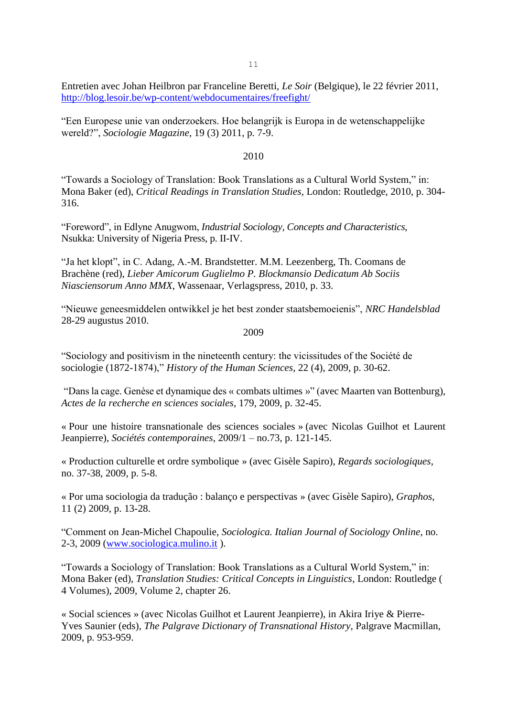Entretien avec Johan Heilbron par Franceline Beretti, *Le Soir* (Belgique), le 22 février 2011, <http://blog.lesoir.be/wp-content/webdocumentaires/freefight/>

"Een Europese unie van onderzoekers. Hoe belangrijk is Europa in de wetenschappelijke wereld?", *Sociologie Magazine*, 19 (3) 2011, p. 7-9.

#### 2010

"Towards a Sociology of Translation: Book Translations as a Cultural World System," in: Mona Baker (ed), *Critical Readings in Translation Studies*, London: Routledge, 2010, p. 304- 316.

"Foreword", in Edlyne Anugwom, *Industrial Sociology, Concepts and Characteristics*, Nsukka: University of Nigeria Press, p. II-IV.

"Ja het klopt", in C. Adang, A.-M. Brandstetter. M.M. Leezenberg, Th. Coomans de Brachène (red), *Lieber Amicorum Guglielmo P. Blockmansio Dedicatum Ab Sociis Niasciensorum Anno MMX*, Wassenaar, Verlagspress, 2010, p. 33.

"Nieuwe geneesmiddelen ontwikkel je het best zonder staatsbemoeienis", *NRC Handelsblad* 28-29 augustus 2010.

2009

"Sociology and positivism in the nineteenth century: the vicissitudes of the Société de sociologie (1872-1874)," *History of the Human Sciences*, 22 (4), 2009, p. 30-62.

"Dans la cage. Genèse et dynamique des « combats ultimes »" (avec Maarten van Bottenburg), *Actes de la recherche en sciences sociales*, 179, 2009, p. 32-45.

« Pour une histoire transnationale des sciences sociales » (avec Nicolas Guilhot et Laurent Jeanpierre), *Sociétés contemporaines*, 2009/1 – no.73, p. 121-145.

« Production culturelle et ordre symbolique » (avec Gisèle Sapiro), *Regards sociologiques*, no. 37-38, 2009, p. 5-8.

« Por uma sociologia da tradução : balanço e perspectivas » (avec Gisèle Sapiro), *Graphos*, 11 (2) 2009, p. 13-28.

"Comment on Jean-Michel Chapoulie, *Sociologica. Italian Journal of Sociology Online*, no. 2-3, 2009 [\(www.sociologica.mulino.it](http://www.sociologica.mulino.it/) ).

"Towards a Sociology of Translation: Book Translations as a Cultural World System," in: Mona Baker (ed), *Translation Studies: Critical Concepts in Linguistics*, London: Routledge ( 4 Volumes), 2009, Volume 2, chapter 26.

« Social sciences » (avec Nicolas Guilhot et Laurent Jeanpierre), in Akira Iriye & Pierre-Yves Saunier (eds), *The Palgrave Dictionary of Transnational History*, Palgrave Macmillan, 2009, p. 953-959.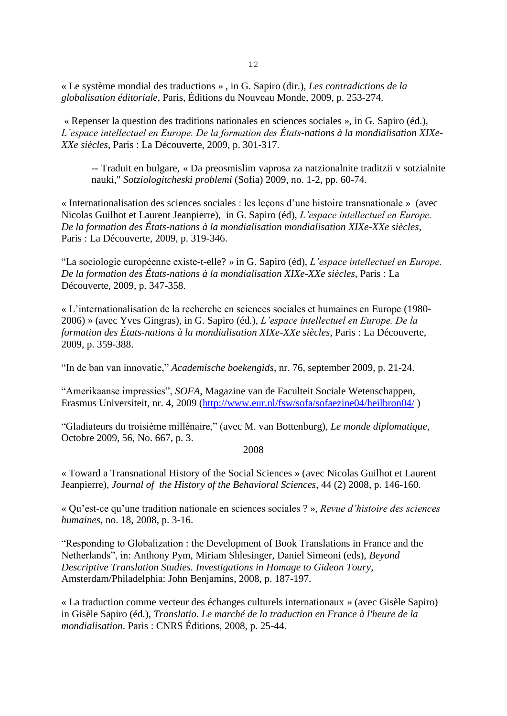« Le système mondial des traductions » , in G. Sapiro (dir.), *Les contradictions de la globalisation éditoriale*, Paris, Éditions du Nouveau Monde, 2009, p. 253-274.

« Repenser la question des traditions nationales en sciences sociales », in G. Sapiro (éd.), *L'espace intellectuel en Europe. De la formation des États-nations à la mondialisation XIXe-XXe siècles*, Paris : La Découverte, 2009, p. 301-317.

-- Traduit en bulgare, « Da preosmislim vaprosa za natzionalnite traditzii v sotzialnite nauki," *Sotziologitcheski problemi* (Sofia) 2009, no. 1-2, pp. 60-74.

« Internationalisation des sciences sociales : les leçons d'une histoire transnationale » (avec Nicolas Guilhot et Laurent Jeanpierre), in G. Sapiro (éd), *L'espace intellectuel en Europe. De la formation des États-nations à la mondialisation mondialisation XIXe-XXe siècles*, Paris : La Découverte, 2009, p. 319-346.

"La sociologie européenne existe-t-elle? » in G. Sapiro (éd), *L'espace intellectuel en Europe. De la formation des États-nations à la mondialisation XIXe-XXe siècles*, Paris : La Découverte, 2009, p. 347-358.

« L'internationalisation de la recherche en sciences sociales et humaines en Europe (1980- 2006) » (avec Yves Gingras), in G. Sapiro (éd.), *L'espace intellectuel en Europe. De la formation des États-nations à la mondialisation XIXe-XXe siècles*, Paris : La Découverte, 2009, p. 359-388.

"In de ban van innovatie," *Academische boekengids*, nr. 76, september 2009, p. 21-24.

"Amerikaanse impressies", *SOFA*, Magazine van de Faculteit Sociale Wetenschappen, Erasmus Universiteit, nr. 4, 2009 [\(http://www.eur.nl/fsw/sofa/sofaezine04/heilbron04/](http://www.eur.nl/fsw/sofa/sofaezine04/heilbron04/))

"Gladiateurs du troisième millénaire," (avec M. van Bottenburg), *Le monde diplomatique*, Octobre 2009, 56, No. 667, p. 3.

2008

« Toward a Transnational History of the Social Sciences » (avec Nicolas Guilhot et Laurent Jeanpierre), *Journal of the History of the Behavioral Sciences*, 44 (2) 2008, p. 146-160.

« Qu'est-ce qu'une tradition nationale en sciences sociales ? », *Revue d'histoire des sciences humaines*, no. 18, 2008, p. 3-16.

"Responding to Globalization : the Development of Book Translations in France and the Netherlands", in: Anthony Pym, Miriam Shlesinger, Daniel Simeoni (eds), *Beyond Descriptive Translation Studies. Investigations in Homage to Gideon Toury*, Amsterdam/Philadelphia: John Benjamins, 2008, p. 187-197.

« La traduction comme vecteur des échanges culturels internationaux » (avec Gisèle Sapiro) in Gisèle Sapiro (éd.), *Translatio. Le marché de la traduction en France à l'heure de la mondialisation*. Paris : CNRS Éditions, 2008, p. 25-44.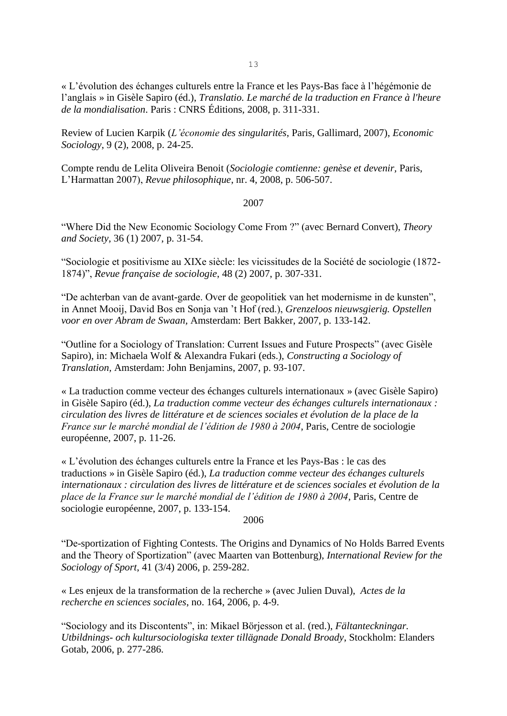« L'évolution des échanges culturels entre la France et les Pays-Bas face à l'hégémonie de l'anglais » in Gisèle Sapiro (éd.), *Translatio. Le marché de la traduction en France à l'heure de la mondialisation*. Paris : CNRS Éditions, 2008, p. 311-331.

Review of Lucien Karpik (*L'économie des singularités*, Paris, Gallimard, 2007), *Economic Sociology*, 9 (2), 2008, p. 24-25.

Compte rendu de Lelita Oliveira Benoit (*Sociologie comtienne: genèse et devenir,* Paris, L'Harmattan 2007), *Revue philosophique*, nr. 4, 2008, p. 506-507.

#### 2007

"Where Did the New Economic Sociology Come From ?" (avec Bernard Convert), *Theory and Society*, 36 (1) 2007, p. 31-54.

"Sociologie et positivisme au XIXe siècle: les vicissitudes de la Société de sociologie (1872- 1874)", *Revue française de sociologie*, 48 (2) 2007, p. 307-331.

"De achterban van de avant-garde. Over de geopolitiek van het modernisme in de kunsten", in Annet Mooij, David Bos en Sonja van 't Hof (red.), *Grenzeloos nieuwsgierig. Opstellen voor en over Abram de Swaan,* Amsterdam: Bert Bakker, 2007, p. 133-142.

"Outline for a Sociology of Translation: Current Issues and Future Prospects" (avec Gisèle Sapiro), in: Michaela Wolf & Alexandra Fukari (eds.), *Constructing a Sociology of Translation,* Amsterdam: John Benjamins, 2007, p. 93-107.

« La traduction comme vecteur des échanges culturels internationaux » (avec Gisèle Sapiro) in Gisèle Sapiro (éd.), *La traduction comme vecteur des échanges culturels internationaux : circulation des livres de littérature et de sciences sociales et évolution de la place de la France sur le marché mondial de l'édition de 1980 à 2004*, Paris, Centre de sociologie européenne, 2007, p. 11-26.

« L'évolution des échanges culturels entre la France et les Pays-Bas : le cas des traductions » in Gisèle Sapiro (éd.), *La traduction comme vecteur des échanges culturels internationaux : circulation des livres de littérature et de sciences sociales et évolution de la place de la France sur le marché mondial de l'édition de 1980 à 2004*, Paris, Centre de sociologie européenne, 2007, p. 133-154.

2006

"De-sportization of Fighting Contests. The Origins and Dynamics of No Holds Barred Events and the Theory of Sportization" (avec Maarten van Bottenburg), *International Review for the Sociology of Sport*, 41 (3/4) 2006, p. 259-282.

« Les enjeux de la transformation de la recherche » (avec Julien Duval), *Actes de la recherche en sciences sociales*, no. 164, 2006, p. 4-9.

"Sociology and its Discontents", in: Mikael Börjesson et al. (red.), *Fältanteckningar. Utbildnings- och kultursociologiska texter tillägnade Donald Broady*, Stockholm: Elanders Gotab, 2006, p. 277-286.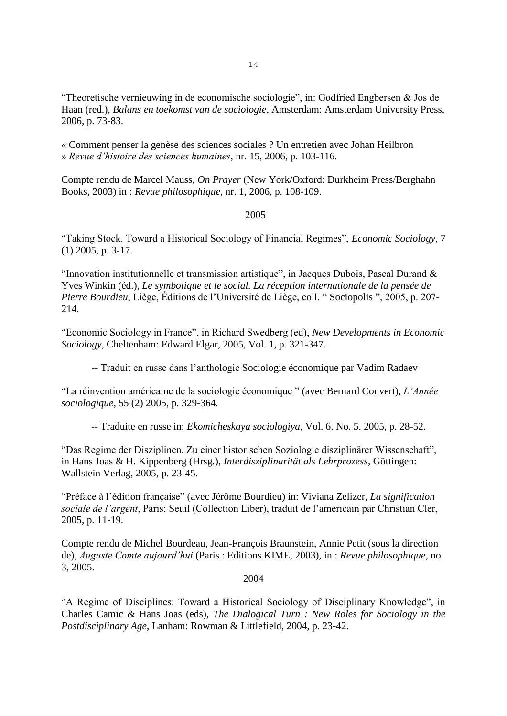"Theoretische vernieuwing in de economische sociologie", in: Godfried Engbersen & Jos de Haan (red.), *Balans en toekomst van de sociologie*, Amsterdam: Amsterdam University Press, 2006, p. 73-83.

« Comment penser la genèse des sciences sociales ? Un entretien avec Johan Heilbron » *Revue d'histoire des sciences humaines*, nr. 15, 2006, p. 103-116.

Compte rendu de Marcel Mauss, *On Prayer* (New York/Oxford: Durkheim Press/Berghahn Books, 2003) in : *Revue philosophique*, nr. 1, 2006, p. 108-109.

#### 2005

"Taking Stock. Toward a Historical Sociology of Financial Regimes", *Economic Sociology*, 7 (1) 2005, p. 3-17.

"Innovation institutionnelle et transmission artistique", in Jacques Dubois, Pascal Durand & Yves Winkin (éd.), *Le symbolique et le social. La réception internationale de la pensée de Pierre Bourdieu*, Liège, Éditions de l'Université de Liège, coll. " Sociopolis ", 2005, p. 207- 214.

"Economic Sociology in France", in Richard Swedberg (ed), *New Developments in Economic Sociology*, Cheltenham: Edward Elgar, 2005, Vol. 1, p. 321-347.

-- Traduit en russe dans l'anthologie Sociologie économique par Vadim Radaev

"La réinvention américaine de la sociologie économique " (avec Bernard Convert), *L'Année sociologique*, 55 (2) 2005, p. 329-364.

-- Traduite en russe in: *Ekomicheskaya sociologiya*, Vol. 6. No. 5. 2005, p. 28-52.

"Das Regime der Disziplinen. Zu einer historischen Soziologie disziplinärer Wissenschaft", in Hans Joas & H. Kippenberg (Hrsg.), *Interdisziplinarität als Lehrprozess*, Göttingen: Wallstein Verlag, 2005, p. 23-45.

"Préface à l'édition française" (avec Jérôme Bourdieu) in: Viviana Zelizer, *La signification sociale de l'argent*, Paris: Seuil (Collection Liber), traduit de l'américain par Christian Cler, 2005, p. 11-19.

Compte rendu de Michel Bourdeau, Jean-François Braunstein, Annie Petit (sous la direction de), *Auguste Comte aujourd'hui* (Paris : Editions KIME, 2003), in : *Revue philosophique*, no. 3, 2005.

#### 2004

"A Regime of Disciplines: Toward a Historical Sociology of Disciplinary Knowledge", in Charles Camic & Hans Joas (eds), *The Dialogical Turn : New Roles for Sociology in the Postdisciplinary Age*, Lanham: Rowman & Littlefield, 2004, p. 23-42.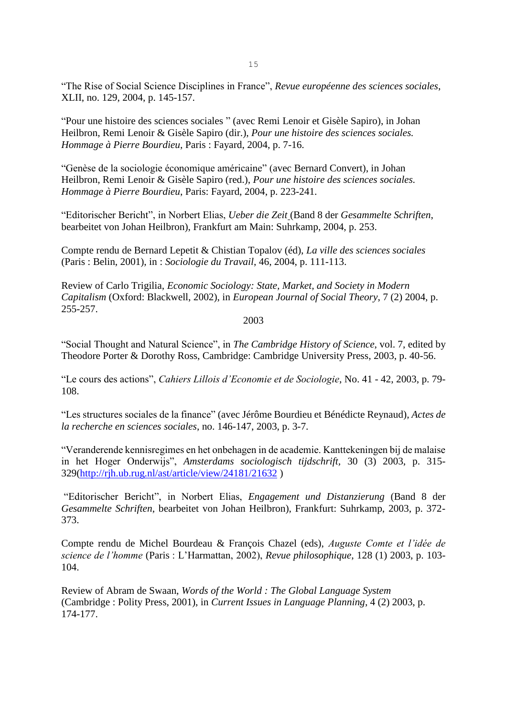"The Rise of Social Science Disciplines in France", *Revue européenne des sciences sociales*, XLII, no. 129, 2004, p. 145-157.

"Pour une histoire des sciences sociales " (avec Remi Lenoir et Gisèle Sapiro), in Johan Heilbron, Remi Lenoir & Gisèle Sapiro (dir.), *Pour une histoire des sciences sociales. Hommage à Pierre Bourdieu*, Paris : Fayard, 2004, p. 7-16.

"Genèse de la sociologie économique américaine" (avec Bernard Convert), in Johan Heilbron, Remi Lenoir & Gisèle Sapiro (red.), *Pour une histoire des sciences sociales. Hommage à Pierre Bourdieu*, Paris: Fayard, 2004, p. 223-241.

"Editorischer Bericht", in Norbert Elias, *Ueber die Zeit* (Band 8 der *Gesammelte Schriften*, bearbeitet von Johan Heilbron), Frankfurt am Main: Suhrkamp, 2004, p. 253.

Compte rendu de Bernard Lepetit & Chistian Topalov (éd), *La ville des sciences sociales* (Paris : Belin, 2001), in : *Sociologie du Travail*, 46, 2004, p. 111-113.

Review of Carlo Trigilia, *Economic Sociology: State, Market, and Society in Modern Capitalism* (Oxford: Blackwell, 2002), in *European Journal of Social Theory*, 7 (2) 2004, p. 255-257.

2003

"Social Thought and Natural Science", in *The Cambridge History of Science*, vol. 7, edited by Theodore Porter & Dorothy Ross, Cambridge: Cambridge University Press, 2003, p. 40-56.

"Le cours des actions", *Cahiers Lillois d'Economie et de Sociologie*, No. 41 - 42, 2003, p. 79- 108.

"Les structures sociales de la finance" (avec Jérôme Bourdieu et Bénédicte Reynaud), *Actes de la recherche en sciences sociales*, no. 146-147, 2003, p. 3-7.

"Veranderende kennisregimes en het onbehagen in de academie. Kanttekeningen bij de malaise in het Hoger Onderwijs", *Amsterdams sociologisch tijdschrift,* 30 (3) 2003, p. 315- 329[\(http://rjh.ub.rug.nl/ast/article/view/24181/21632](http://rjh.ub.rug.nl/ast/article/view/24181/21632) )

"Editorischer Bericht", in Norbert Elias, *Engagement und Distanzierung* (Band 8 der *Gesammelte Schriften*, bearbeitet von Johan Heilbron), Frankfurt: Suhrkamp, 2003, p. 372- 373.

Compte rendu de Michel Bourdeau & François Chazel (eds), *Auguste Comte et l'idée de science de l'homme* (Paris : L'Harmattan, 2002), *Revue philosophique*, 128 (1) 2003, p. 103- 104.

Review of Abram de Swaan, *Words of the World : The Global Language System* (Cambridge : Polity Press, 2001), in *Current Issues in Language Planning*, 4 (2) 2003, p. 174-177.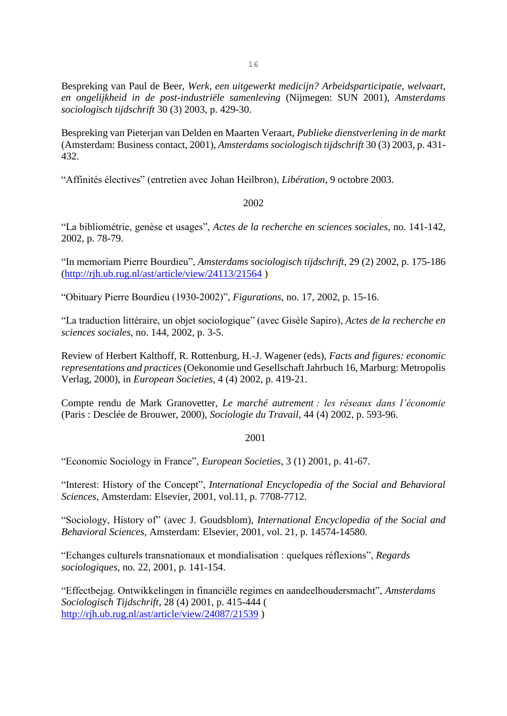Bespreking van Paul de Beer, *Werk, een uitgewerkt medicijn? Arbeidsparticipatie, welvaart, en ongelijkheid in de post-industriële samenleving* (Nijmegen: SUN 2001), *Amsterdams sociologisch tijdschrift* 30 (3) 2003, p. 429-30.

Bespreking van Pieterjan van Delden en Maarten Veraart, *Publieke dienstverlening in de markt* (Amsterdam: Business contact, 2001), *Amsterdams sociologisch tijdschrift* 30 (3) 2003, p. 431- 432.

"Affinités électives" (entretien avec Johan Heilbron), *Libération*, 9 octobre 2003.

## 2002

"La bibliométrie, genèse et usages", *Actes de la recherche en sciences sociales*, no. 141-142, 2002, p. 78-79.

"In memoriam Pierre Bourdieu", *Amsterdams sociologisch tijdschrift*, 29 (2) 2002, p. 175-186 [\(http://rjh.ub.rug.nl/ast/article/view/24113/21564](http://rjh.ub.rug.nl/ast/article/view/24113/21564) )

"Obituary Pierre Bourdieu (1930-2002)", *Figurations*, no. 17, 2002, p. 15-16.

"La traduction littéraire, un objet sociologique" (avec Gisèle Sapiro), *Actes de la recherche en sciences sociales*, no. 144, 2002, p. 3-5.

Review of Herbert Kalthoff, R. Rottenburg, H.-J. Wagener (eds), *Facts and figures: economic representations and practices* (Oekonomie und Gesellschaft Jahrbuch 16, Marburg: Metropolis Verlag, 2000), in *European Societies*, 4 (4) 2002, p. 419-21.

Compte rendu de Mark Granovetter, *Le marché autrement : les réseaux dans l'économie* (Paris : Desclée de Brouwer, 2000), *Sociologie du Travail*, 44 (4) 2002, p. 593-96.

### 2001

"Economic Sociology in France", *European Societies*, 3 (1) 2001, p. 41-67.

"Interest: History of the Concept", *International Encyclopedia of the Social and Behavioral Sciences*, Amsterdam: Elsevier, 2001, vol.11, p. 7708-7712.

"Sociology, History of" (avec J. Goudsblom), *International Encyclopedia of the Social and Behavioral Sciences*, Amsterdam: Elsevier, 2001, vol. 21, p. 14574-14580.

"Echanges culturels transnationaux et mondialisation : quelques réflexions", *Regards sociologiques*, no. 22, 2001, p. 141-154.

"Effectbejag. Ontwikkelingen in financiële regimes en aandeelhoudersmacht", *Amsterdams Sociologisch Tijdschrift*, 28 (4) 2001, p. 415-444 ( <http://rjh.ub.rug.nl/ast/article/view/24087/21539> )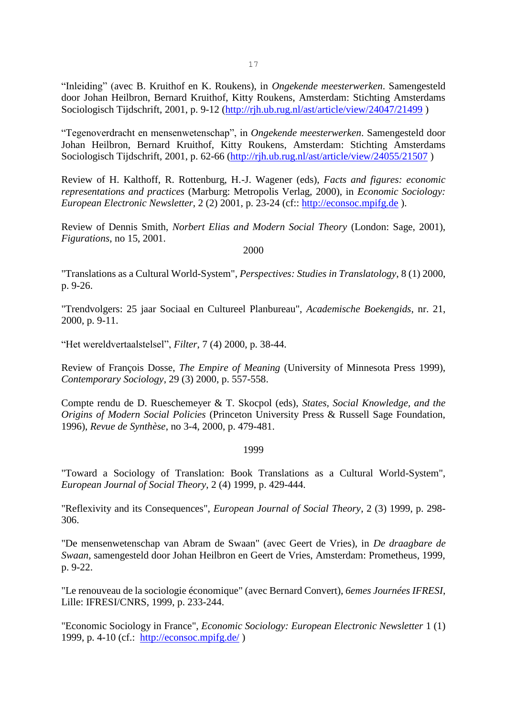"Inleiding" (avec B. Kruithof en K. Roukens), in *Ongekende meesterwerken*. Samengesteld door Johan Heilbron, Bernard Kruithof, Kitty Roukens, Amsterdam: Stichting Amsterdams Sociologisch Tijdschrift, 2001, p. 9-12 [\(http://rjh.ub.rug.nl/ast/article/view/24047/21499](http://rjh.ub.rug.nl/ast/article/view/24047/21499) )

"Tegenoverdracht en mensenwetenschap", in *Ongekende meesterwerken*. Samengesteld door Johan Heilbron, Bernard Kruithof, Kitty Roukens, Amsterdam: Stichting Amsterdams Sociologisch Tijdschrift, 2001, p. 62-66 [\(http://rjh.ub.rug.nl/ast/article/view/24055/21507](http://rjh.ub.rug.nl/ast/article/view/24055/21507) )

Review of H. Kalthoff, R. Rottenburg, H.-J. Wagener (eds), *Facts and figures: economic representations and practices* (Marburg: Metropolis Verlag, 2000), in *Economic Sociology: European Electronic Newsletter*, 2 (2) 2001, p. 23-24 (cf:: [http://econsoc.mpifg.de](http://econsoc.mpifg.de/) ).

Review of Dennis Smith, *Norbert Elias and Modern Social Theory* (London: Sage, 2001), *Figurations*, no 15, 2001.

2000

"Translations as a Cultural World-System", *Perspectives: Studies in Translatology*, 8 (1) 2000, p. 9-26.

"Trendvolgers: 25 jaar Sociaal en Cultureel Planbureau", *Academische Boekengids*, nr. 21, 2000, p. 9-11.

"Het wereldvertaalstelsel", *Filter*, 7 (4) 2000, p. 38-44.

Review of François Dosse, *The Empire of Meaning* (University of Minnesota Press 1999), *Contemporary Sociology*, 29 (3) 2000, p. 557-558.

Compte rendu de D. Rueschemeyer & T. Skocpol (eds), *States, Social Knowledge, and the Origins of Modern Social Policies* (Princeton University Press & Russell Sage Foundation, 1996), *Revue de Synthèse*, no 3-4, 2000, p. 479-481.

1999

"Toward a Sociology of Translation: Book Translations as a Cultural World-System", *European Journal of Social Theory*, 2 (4) 1999, p. 429-444.

"Reflexivity and its Consequences", *European Journal of Social Theory*, 2 (3) 1999, p. 298- 306.

"De mensenwetenschap van Abram de Swaan" (avec Geert de Vries), in *De draagbare de Swaan*, samengesteld door Johan Heilbron en Geert de Vries, Amsterdam: Prometheus, 1999, p. 9-22.

"Le renouveau de la sociologie économique" (avec Bernard Convert), *6emes Journées IFRESI*, Lille: IFRESI/CNRS, 1999, p. 233-244.

"Economic Sociology in France", *Economic Sociology: European Electronic Newsletter* 1 (1) 1999, p. 4-10 (cf.: <http://econsoc.mpifg.de/> )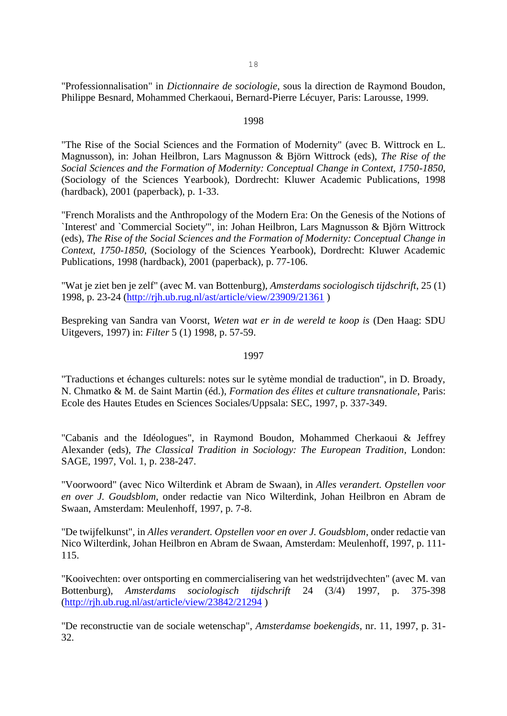"Professionnalisation" in *Dictionnaire de sociologie*, sous la direction de Raymond Boudon, Philippe Besnard, Mohammed Cherkaoui, Bernard-Pierre Lécuyer, Paris: Larousse, 1999.

### 1998

"The Rise of the Social Sciences and the Formation of Modernity" (avec B. Wittrock en L. Magnusson), in: Johan Heilbron, Lars Magnusson & Björn Wittrock (eds), *The Rise of the Social Sciences and the Formation of Modernity: Conceptual Change in Context, 1750-1850*, (Sociology of the Sciences Yearbook), Dordrecht: Kluwer Academic Publications, 1998 (hardback), 2001 (paperback), p. 1-33.

"French Moralists and the Anthropology of the Modern Era: On the Genesis of the Notions of `Interest' and `Commercial Society'", in: Johan Heilbron, Lars Magnusson & Björn Wittrock (eds), *The Rise of the Social Sciences and the Formation of Modernity: Conceptual Change in Context, 1750-1850*, (Sociology of the Sciences Yearbook), Dordrecht: Kluwer Academic Publications, 1998 (hardback), 2001 (paperback), p. 77-106.

"Wat je ziet ben je zelf" (avec M. van Bottenburg), *Amsterdams sociologisch tijdschrift*, 25 (1) 1998, p. 23-24 [\(http://rjh.ub.rug.nl/ast/article/view/23909/21361](http://rjh.ub.rug.nl/ast/article/view/23909/21361) )

Bespreking van Sandra van Voorst, *Weten wat er in de wereld te koop is* (Den Haag: SDU Uitgevers, 1997) in: *Filter* 5 (1) 1998, p. 57-59.

#### 1997

"Traductions et échanges culturels: notes sur le sytème mondial de traduction", in D. Broady, N. Chmatko & M. de Saint Martin (éd.), *Formation des élites et culture transnationale*, Paris: Ecole des Hautes Etudes en Sciences Sociales/Uppsala: SEC, 1997, p. 337-349.

"Cabanis and the Idéologues", in Raymond Boudon, Mohammed Cherkaoui & Jeffrey Alexander (eds), *The Classical Tradition in Sociology: The European Tradition*, London: SAGE, 1997, Vol. 1, p. 238-247.

"Voorwoord" (avec Nico Wilterdink et Abram de Swaan), in *Alles verandert. Opstellen voor en over J. Goudsblom*, onder redactie van Nico Wilterdink, Johan Heilbron en Abram de Swaan, Amsterdam: Meulenhoff, 1997, p. 7-8.

"De twijfelkunst", in *Alles verandert. Opstellen voor en over J. Goudsblom*, onder redactie van Nico Wilterdink, Johan Heilbron en Abram de Swaan, Amsterdam: Meulenhoff, 1997, p. 111- 115.

"Kooivechten: over ontsporting en commercialisering van het wedstrijdvechten" (avec M. van Bottenburg), *Amsterdams sociologisch tijdschrift* 24 (3/4) 1997, p. 375-398 [\(http://rjh.ub.rug.nl/ast/article/view/23842/21294](http://rjh.ub.rug.nl/ast/article/view/23842/21294) )

"De reconstructie van de sociale wetenschap", *Amsterdamse boekengids*, nr. 11, 1997, p. 31- 32.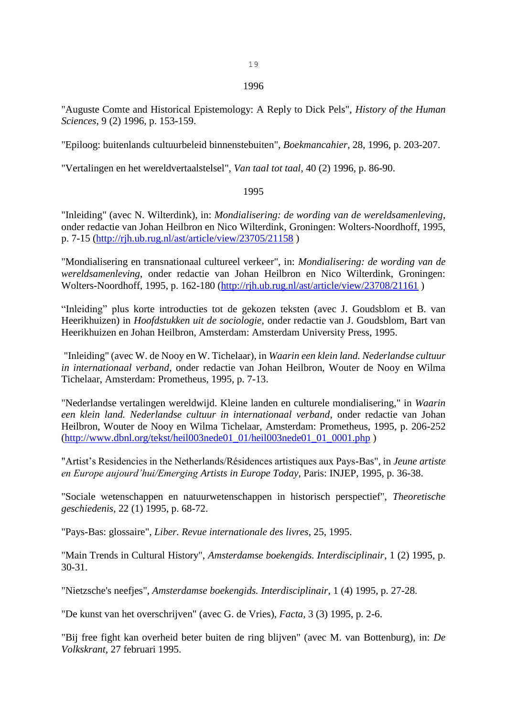#### 1996

"Auguste Comte and Historical Epistemology: A Reply to Dick Pels", *History of the Human Sciences*, 9 (2) 1996, p. 153-159.

"Epiloog: buitenlands cultuurbeleid binnenstebuiten", *Boekmancahier*, 28, 1996, p. 203-207.

"Vertalingen en het wereldvertaalstelsel", *Van taal tot taal*, 40 (2) 1996, p. 86-90.

## 1995

"Inleiding" (avec N. Wilterdink), in: *Mondialisering: de wording van de wereldsamenleving*, onder redactie van Johan Heilbron en Nico Wilterdink, Groningen: Wolters-Noordhoff, 1995, p. 7-15 [\(http://rjh.ub.rug.nl/ast/article/view/23705/21158](http://rjh.ub.rug.nl/ast/article/view/23705/21158) )

"Mondialisering en transnationaal cultureel verkeer", in: *Mondialisering: de wording van de wereldsamenleving*, onder redactie van Johan Heilbron en Nico Wilterdink, Groningen: Wolters-Noordhoff, 1995, p. 162-180 [\(http://rjh.ub.rug.nl/ast/article/view/23708/21161](http://rjh.ub.rug.nl/ast/article/view/23708/21161) )

"Inleiding" plus korte introducties tot de gekozen teksten (avec J. Goudsblom et B. van Heerikhuizen) in *Hoofdstukken uit de sociologie*, onder redactie van J. Goudsblom, Bart van Heerikhuizen en Johan Heilbron, Amsterdam: Amsterdam University Press, 1995.

"Inleiding" (avec W. de Nooy en W. Tichelaar), in *Waarin een klein land. Nederlandse cultuur in internationaal verband*, onder redactie van Johan Heilbron, Wouter de Nooy en Wilma Tichelaar, Amsterdam: Prometheus, 1995, p. 7-13.

"Nederlandse vertalingen wereldwijd. Kleine landen en culturele mondialisering," in *Waarin een klein land. Nederlandse cultuur in internationaal verband*, onder redactie van Johan Heilbron, Wouter de Nooy en Wilma Tichelaar, Amsterdam: Prometheus, 1995, p. 206-252 [\(http://www.dbnl.org/tekst/heil003nede01\\_01/heil003nede01\\_01\\_0001.php](http://www.dbnl.org/tekst/heil003nede01_01/heil003nede01_01_0001.php) )

"Artist's Residencies in the Netherlands/Résidences artistiques aux Pays-Bas", in *Jeune artiste en Europe aujourd'hui/Emerging Artists in Europe Today*, Paris: INJEP, 1995, p. 36-38.

"Sociale wetenschappen en natuurwetenschappen in historisch perspectief", *Theoretische geschiedenis*, 22 (1) 1995, p. 68-72.

"Pays-Bas: glossaire", *Liber. Revue internationale des livres*, 25, 1995.

"Main Trends in Cultural History", *Amsterdamse boekengids. Interdisciplinair*, 1 (2) 1995, p. 30-31.

"Nietzsche's neefjes", *Amsterdamse boekengids. Interdisciplinair*, 1 (4) 1995, p. 27-28.

"De kunst van het overschrijven" (avec G. de Vries), *Facta*, 3 (3) 1995, p. 2-6.

"Bij free fight kan overheid beter buiten de ring blijven" (avec M. van Bottenburg), in: *De Volkskrant*, 27 februari 1995.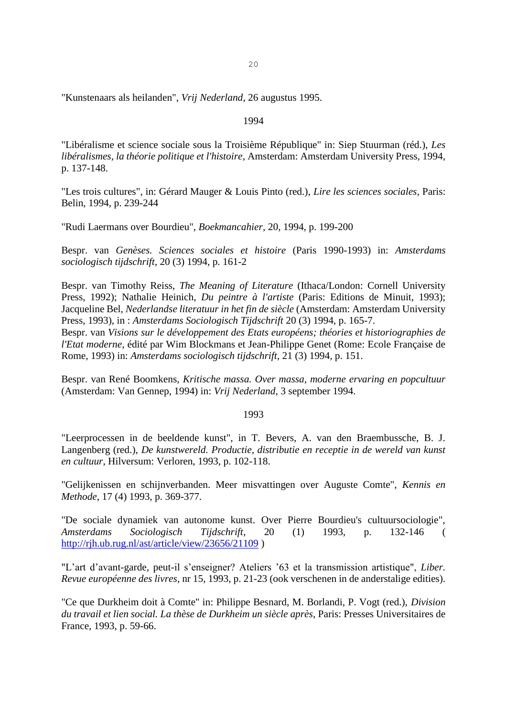"Kunstenaars als heilanden", *Vrij Nederland*, 26 augustus 1995.

### 1994

"Libéralisme et science sociale sous la Troisième République" in: Siep Stuurman (réd.), *Les libéralismes, la théorie politique et l'histoire*, Amsterdam: Amsterdam University Press, 1994, p. 137-148.

"Les trois cultures", in: Gérard Mauger & Louis Pinto (red.), *Lire les sciences sociales*, Paris: Belin, 1994, p. 239-244

"Rudi Laermans over Bourdieu", *Boekmancahier*, 20, 1994, p. 199-200

Bespr. van *Genèses. Sciences sociales et histoire* (Paris 1990-1993) in: *Amsterdams sociologisch tijdschrift*, 20 (3) 1994, p. 161-2

Bespr. van Timothy Reiss, *The Meaning of Literature* (Ithaca/London: Cornell University Press, 1992); Nathalie Heinich, *Du peintre à l'artiste* (Paris: Editions de Minuit, 1993); Jacqueline Bel, *Nederlandse literatuur in het fin de siècle* (Amsterdam: Amsterdam University Press, 1993), in : *Amsterdams Sociologisch Tijdschrift* 20 (3) 1994, p. 165-7.

Bespr. van *Visions sur le développement des Etats européens; théories et historiographies de l'Etat moderne*, édité par Wim Blockmans et Jean-Philippe Genet (Rome: Ecole Française de Rome, 1993) in: *Amsterdams sociologisch tijdschrift*, 21 (3) 1994, p. 151.

Bespr. van René Boomkens, *Kritische massa. Over massa, moderne ervaring en popcultuur* (Amsterdam: Van Gennep, 1994) in: *Vrij Nederland*, 3 september 1994.

### 1993

"Leerprocessen in de beeldende kunst", in T. Bevers, A. van den Braembussche, B. J. Langenberg (red.), *De kunstwereld. Productie, distributie en receptie in de wereld van kunst en cultuur*, Hilversum: Verloren, 1993, p. 102-118.

"Gelijkenissen en schijnverbanden. Meer misvattingen over Auguste Comte", *Kennis en Methode*, 17 (4) 1993, p. 369-377.

"De sociale dynamiek van autonome kunst. Over Pierre Bourdieu's cultuursociologie", *Amsterdams Sociologisch Tijdschrift*, 20 (1) 1993, p. 132-146 ( <http://rjh.ub.rug.nl/ast/article/view/23656/21109> )

"L'art d'avant-garde, peut-il s'enseigner? Ateliers '63 et la transmission artistique", *Liber. Revue européenne des livres*, nr 15, 1993, p. 21-23 (ook verschenen in de anderstalige edities).

"Ce que Durkheim doit à Comte" in: Philippe Besnard, M. Borlandi, P. Vogt (red.), *Division du travail et lien social. La thèse de Durkheim un siècle après*, Paris: Presses Universitaires de France, 1993, p. 59-66.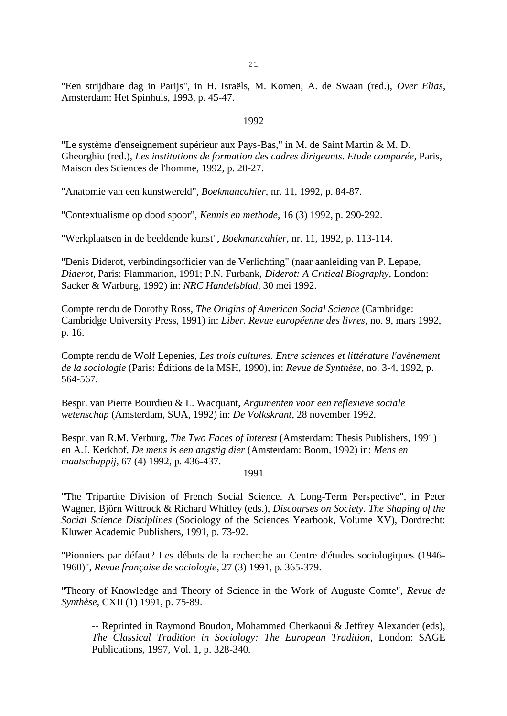"Een strijdbare dag in Parijs", in H. Israëls, M. Komen, A. de Swaan (red.), *Over Elias*, Amsterdam: Het Spinhuis, 1993, p. 45-47.

#### 1992

"Le système d'enseignement supérieur aux Pays-Bas," in M. de Saint Martin & M. D. Gheorghiu (red.), *Les institutions de formation des cadres dirigeants. Etude comparée*, Paris, Maison des Sciences de l'homme, 1992, p. 20-27.

"Anatomie van een kunstwereld", *Boekmancahier*, nr. 11, 1992, p. 84-87.

"Contextualisme op dood spoor", *Kennis en methode*, 16 (3) 1992, p. 290-292.

"Werkplaatsen in de beeldende kunst", *Boekmancahier*, nr. 11, 1992, p. 113-114.

"Denis Diderot, verbindingsofficier van de Verlichting" (naar aanleiding van P. Lepape, *Diderot*, Paris: Flammarion, 1991; P.N. Furbank, *Diderot: A Critical Biography*, London: Sacker & Warburg, 1992) in: *NRC Handelsblad*, 30 mei 1992.

Compte rendu de Dorothy Ross, *The Origins of American Social Science* (Cambridge: Cambridge University Press, 1991) in: *Liber. Revue européenne des livres*, no. 9, mars 1992, p. 16.

Compte rendu de Wolf Lepenies, *Les trois cultures. Entre sciences et littérature l'avènement de la sociologie* (Paris: Éditions de la MSH, 1990), in: *Revue de Synthèse*, no. 3-4, 1992, p. 564-567.

Bespr. van Pierre Bourdieu & L. Wacquant, *Argumenten voor een reflexieve sociale wetenschap* (Amsterdam, SUA, 1992) in: *De Volkskrant*, 28 november 1992.

Bespr. van R.M. Verburg, *The Two Faces of Interest* (Amsterdam: Thesis Publishers, 1991) en A.J. Kerkhof, *De mens is een angstig dier* (Amsterdam: Boom, 1992) in: *Mens en maatschappij*, 67 (4) 1992, p. 436-437.

### 1991

"The Tripartite Division of French Social Science. A Long-Term Perspective", in Peter Wagner, Björn Wittrock & Richard Whitley (eds.), *Discourses on Society. The Shaping of the Social Science Disciplines* (Sociology of the Sciences Yearbook, Volume XV), Dordrecht: Kluwer Academic Publishers, 1991, p. 73-92.

"Pionniers par défaut? Les débuts de la recherche au Centre d'études sociologiques (1946- 1960)", *Revue française de sociologie*, 27 (3) 1991, p. 365-379.

"Theory of Knowledge and Theory of Science in the Work of Auguste Comte", *Revue de Synthèse*, CXII (1) 1991, p. 75-89.

-- Reprinted in Raymond Boudon, Mohammed Cherkaoui & Jeffrey Alexander (eds), *The Classical Tradition in Sociology: The European Tradition*, London: SAGE Publications, 1997, Vol. 1, p. 328-340.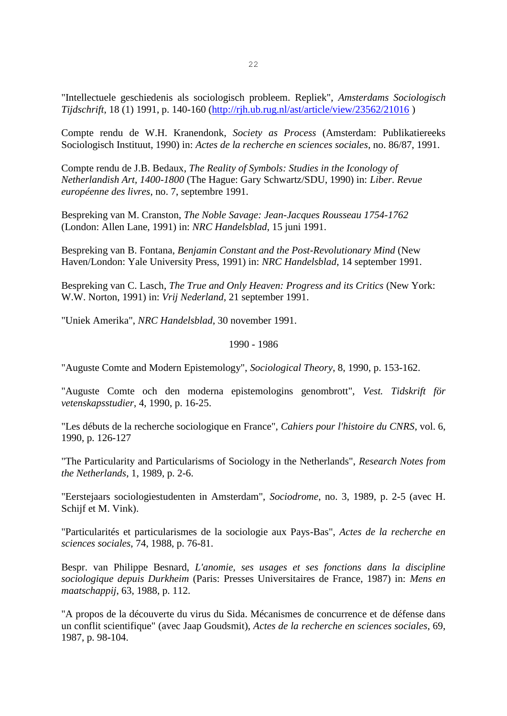"Intellectuele geschiedenis als sociologisch probleem. Repliek", *Amsterdams Sociologisch Tijdschrift*, 18 (1) 1991, p. 140-160 [\(http://rjh.ub.rug.nl/ast/article/view/23562/21016](http://rjh.ub.rug.nl/ast/article/view/23562/21016) )

Compte rendu de W.H. Kranendonk, *Society as Process* (Amsterdam: Publikatiereeks Sociologisch Instituut, 1990) in: *Actes de la recherche en sciences sociales*, no. 86/87, 1991.

Compte rendu de J.B. Bedaux, *The Reality of Symbols: Studies in the Iconology of Netherlandish Art, 1400-1800* (The Hague: Gary Schwartz/SDU, 1990) in: *Liber. Revue européenne des livres*, no. 7, septembre 1991.

Bespreking van M. Cranston, *The Noble Savage: Jean-Jacques Rousseau 1754-1762* (London: Allen Lane, 1991) in: *NRC Handelsblad*, 15 juni 1991.

Bespreking van B. Fontana, *Benjamin Constant and the Post-Revolutionary Mind* (New Haven/London: Yale University Press, 1991) in: *NRC Handelsblad*, 14 september 1991.

Bespreking van C. Lasch, *The True and Only Heaven: Progress and its Critics* (New York: W.W. Norton, 1991) in: *Vrij Nederland*, 21 september 1991.

"Uniek Amerika", *NRC Handelsblad*, 30 november 1991.

#### 1990 - 1986

"Auguste Comte and Modern Epistemology", *Sociological Theory*, 8, 1990, p. 153-162.

"Auguste Comte och den moderna epistemologins genombrott", *Vest. Tidskrift för vetenskapsstudier*, 4, 1990, p. 16-25.

"Les débuts de la recherche sociologique en France", *Cahiers pour l'histoire du CNRS*, vol. 6, 1990, p. 126-127

"The Particularity and Particularisms of Sociology in the Netherlands", *Research Notes from the Netherlands*, 1, 1989, p. 2-6.

"Eerstejaars sociologiestudenten in Amsterdam", *Sociodrome*, no. 3, 1989, p. 2-5 (avec H. Schijf et M. Vink).

"Particularités et particularismes de la sociologie aux Pays-Bas", *Actes de la recherche en sciences sociales*, 74, 1988, p. 76-81.

Bespr. van Philippe Besnard, *L'anomie, ses usages et ses fonctions dans la discipline sociologique depuis Durkheim* (Paris: Presses Universitaires de France, 1987) in: *Mens en maatschappij*, 63, 1988, p. 112.

"A propos de la découverte du virus du Sida. Mécanismes de concurrence et de défense dans un conflit scientifique" (avec Jaap Goudsmit), *Actes de la recherche en sciences sociales*, 69, 1987, p. 98-104.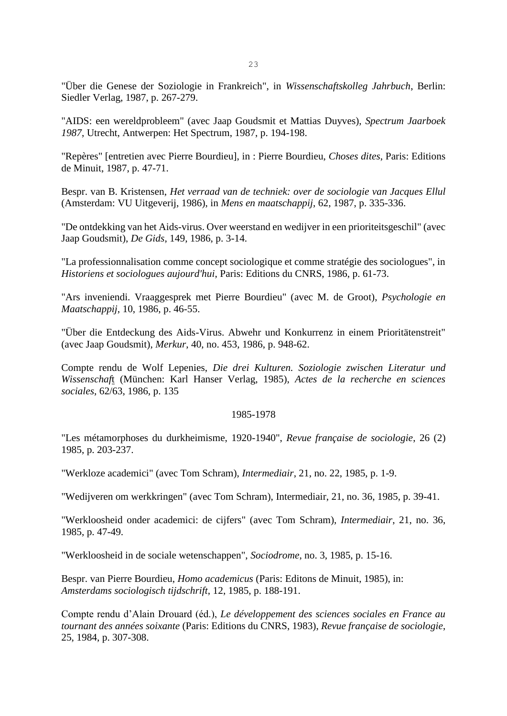"Über die Genese der Soziologie in Frankreich", in *Wissenschaftskolleg Jahrbuch*, Berlin: Siedler Verlag, 1987, p. 267-279.

"AIDS: een wereldprobleem" (avec Jaap Goudsmit et Mattias Duyves), *Spectrum Jaarboek 1987*, Utrecht, Antwerpen: Het Spectrum, 1987, p. 194-198.

"Repères" [entretien avec Pierre Bourdieu], in : Pierre Bourdieu, *Choses dites*, Paris: Editions de Minuit, 1987, p. 47-71.

Bespr. van B. Kristensen, *Het verraad van de techniek: over de sociologie van Jacques Ellul* (Amsterdam: VU Uitgeverij, 1986), in *Mens en maatschappij*, 62, 1987, p. 335-336.

"De ontdekking van het Aids-virus. Over weerstand en wedijver in een prioriteitsgeschil" (avec Jaap Goudsmit), *De Gids*, 149, 1986, p. 3-14.

"La professionnalisation comme concept sociologique et comme stratégie des sociologues", in *Historiens et sociologues aujourd'hui*, Paris: Editions du CNRS, 1986, p. 61-73.

"Ars inveniendi. Vraaggesprek met Pierre Bourdieu" (avec M. de Groot), *Psychologie en Maatschappij*, 10, 1986, p. 46-55.

"Über die Entdeckung des Aids-Virus. Abwehr und Konkurrenz in einem Prioritätenstreit" (avec Jaap Goudsmit), *Merkur*, 40, no. 453, 1986, p. 948-62.

Compte rendu de Wolf Lepenies, *Die drei Kulturen. Soziologie zwischen Literatur und Wissenschaf*t (München: Karl Hanser Verlag, 1985), *Actes de la recherche en sciences sociales*, 62/63, 1986, p. 135

#### 1985-1978

"Les métamorphoses du durkheimisme, 1920-1940", *Revue française de sociologie*, 26 (2) 1985, p. 203-237.

"Werkloze academici" (avec Tom Schram), *Intermediair*, 21, no. 22, 1985, p. 1-9.

"Wedijveren om werkkringen" (avec Tom Schram), Intermediair, 21, no. 36, 1985, p. 39-41.

"Werkloosheid onder academici: de cijfers" (avec Tom Schram), *Intermediair*, 21, no. 36, 1985, p. 47-49.

"Werkloosheid in de sociale wetenschappen", *Sociodrome*, no. 3, 1985, p. 15-16.

Bespr. van Pierre Bourdieu, *Homo academicus* (Paris: Editons de Minuit, 1985), in: *Amsterdams sociologisch tijdschrift*, 12, 1985, p. 188-191.

Compte rendu d'Alain Drouard (éd.), *Le développement des sciences sociales en France au tournant des années soixante* (Paris: Editions du CNRS, 1983), *Revue française de sociologie*, 25, 1984, p. 307-308.